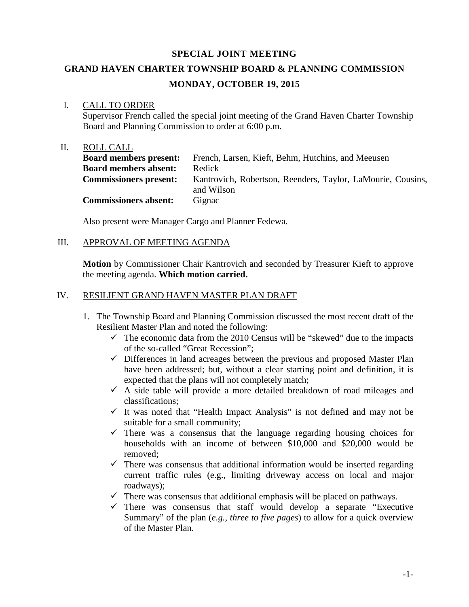## **SPECIAL JOINT MEETING**

# **GRAND HAVEN CHARTER TOWNSHIP BOARD & PLANNING COMMISSION MONDAY, OCTOBER 19, 2015**

#### I. CALL TO ORDER

Supervisor French called the special joint meeting of the Grand Haven Charter Township Board and Planning Commission to order at 6:00 p.m.

## II. ROLL CALL

| <b>Board members present:</b> | French, Larsen, Kieft, Behm, Hutchins, and Meeusen                        |
|-------------------------------|---------------------------------------------------------------------------|
| <b>Board members absent:</b>  | Redick                                                                    |
| <b>Commissioners present:</b> | Kantrovich, Robertson, Reenders, Taylor, LaMourie, Cousins,<br>and Wilson |
| <b>Commissioners absent:</b>  | Gignac                                                                    |

Also present were Manager Cargo and Planner Fedewa.

# III. APPROVAL OF MEETING AGENDA

**Motion** by Commissioner Chair Kantrovich and seconded by Treasurer Kieft to approve the meeting agenda. **Which motion carried.**

# IV. RESILIENT GRAND HAVEN MASTER PLAN DRAFT

- 1. The Township Board and Planning Commission discussed the most recent draft of the Resilient Master Plan and noted the following:
	- $\checkmark$  The economic data from the 2010 Census will be "skewed" due to the impacts of the so-called "Great Recession";
	- $\checkmark$  Differences in land acreages between the previous and proposed Master Plan have been addressed; but, without a clear starting point and definition, it is expected that the plans will not completely match;
	- $\checkmark$  A side table will provide a more detailed breakdown of road mileages and classifications;
	- $\checkmark$  It was noted that "Health Impact Analysis" is not defined and may not be suitable for a small community;
	- $\checkmark$  There was a consensus that the language regarding housing choices for households with an income of between \$10,000 and \$20,000 would be removed;
	- $\checkmark$  There was consensus that additional information would be inserted regarding current traffic rules (e.g., limiting driveway access on local and major roadways);
	- $\checkmark$  There was consensus that additional emphasis will be placed on pathways.
	- $\checkmark$  There was consensus that staff would develop a separate "Executive" Summary" of the plan (*e.g., three to five pages*) to allow for a quick overview of the Master Plan.